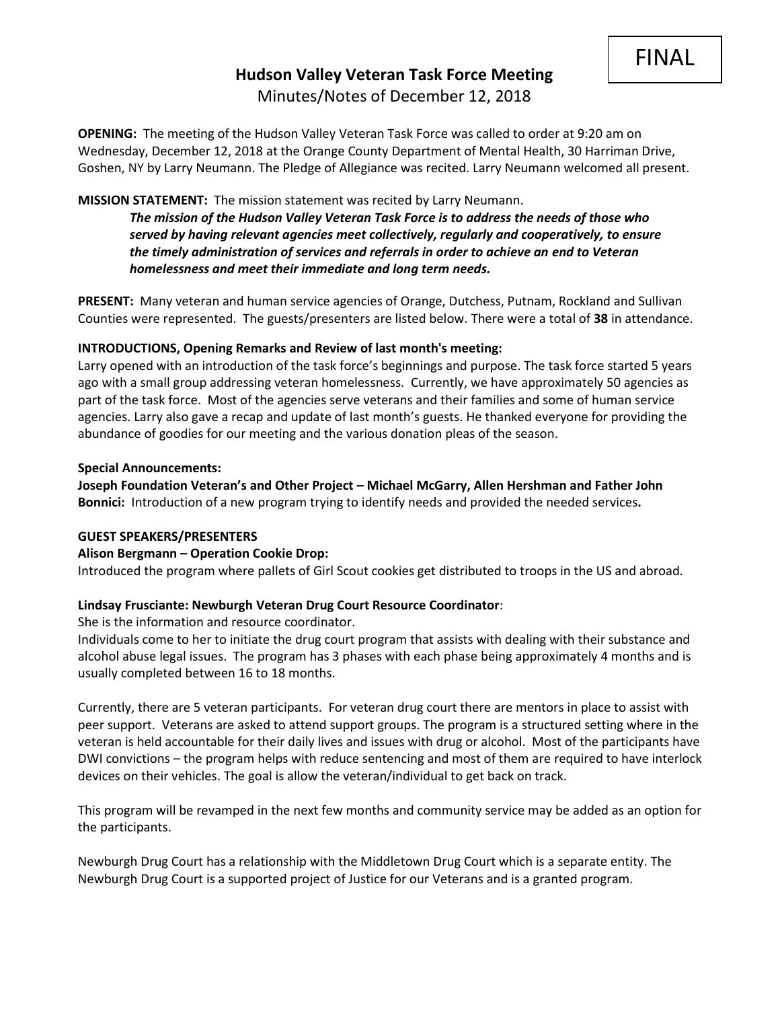# **Hudson Valley Veteran Task Force Meeting**  Minutes/Notes of December 12, 2018

**OPENING:** The meeting of the Hudson Valley Veteran Task Force was called to order at 9:20 am on Wednesday, December 12, 2018 at the Orange County Department of Mental Health, 30 Harriman Drive, Goshen, NY by Larry Neumann. The Pledge of Allegiance was recited. Larry Neumann welcomed all present.

#### **MISSION STATEMENT:** The mission statement was recited by Larry Neumann.

*The mission of the Hudson Valley Veteran Task Force is to address the needs of those who served by having relevant agencies meet collectively, regularly and cooperatively, to ensure the timely administration of services and referrals in order to achieve an end to Veteran homelessness and meet their immediate and long term needs.* 

**PRESENT:** Many veteran and human service agencies of Orange, Dutchess, Putnam, Rockland and Sullivan Counties were represented. The guests/presenters are listed below. There were a total of **38** in attendance.

#### **INTRODUCTIONS, Opening Remarks and Review of last month's meeting:**

Larry opened with an introduction of the task force's beginnings and purpose. The task force started 5 years ago with a small group addressing veteran homelessness. Currently, we have approximately 50 agencies as part of the task force. Most of the agencies serve veterans and their families and some of human service agencies. Larry also gave a recap and update of last month's guests. He thanked everyone for providing the abundance of goodies for our meeting and the various donation pleas of the season.

#### **Special Announcements:**

**Joseph Foundation Veteran's and Other Project – Michael McGarry, Allen Hershman and Father John Bonnici:** Introduction of a new program trying to identify needs and provided the needed services**.** 

#### **GUEST SPEAKERS/PRESENTERS**

## **Alison Bergmann – Operation Cookie Drop:**

Introduced the program where pallets of Girl Scout cookies get distributed to troops in the US and abroad.

## **Lindsay Frusciante: Newburgh Veteran Drug Court Resource Coordinator**:

She is the information and resource coordinator.

Individuals come to her to initiate the drug court program that assists with dealing with their substance and alcohol abuse legal issues. The program has 3 phases with each phase being approximately 4 months and is usually completed between 16 to 18 months.

Currently, there are 5 veteran participants. For veteran drug court there are mentors in place to assist with peer support. Veterans are asked to attend support groups. The program is a structured setting where in the veteran is held accountable for their daily lives and issues with drug or alcohol. Most of the participants have DWI convictions – the program helps with reduce sentencing and most of them are required to have interlock devices on their vehicles. The goal is allow the veteran/individual to get back on track.

This program will be revamped in the next few months and community service may be added as an option for the participants.

Newburgh Drug Court has a relationship with the Middletown Drug Court which is a separate entity. The Newburgh Drug Court is a supported project of Justice for our Veterans and is a granted program.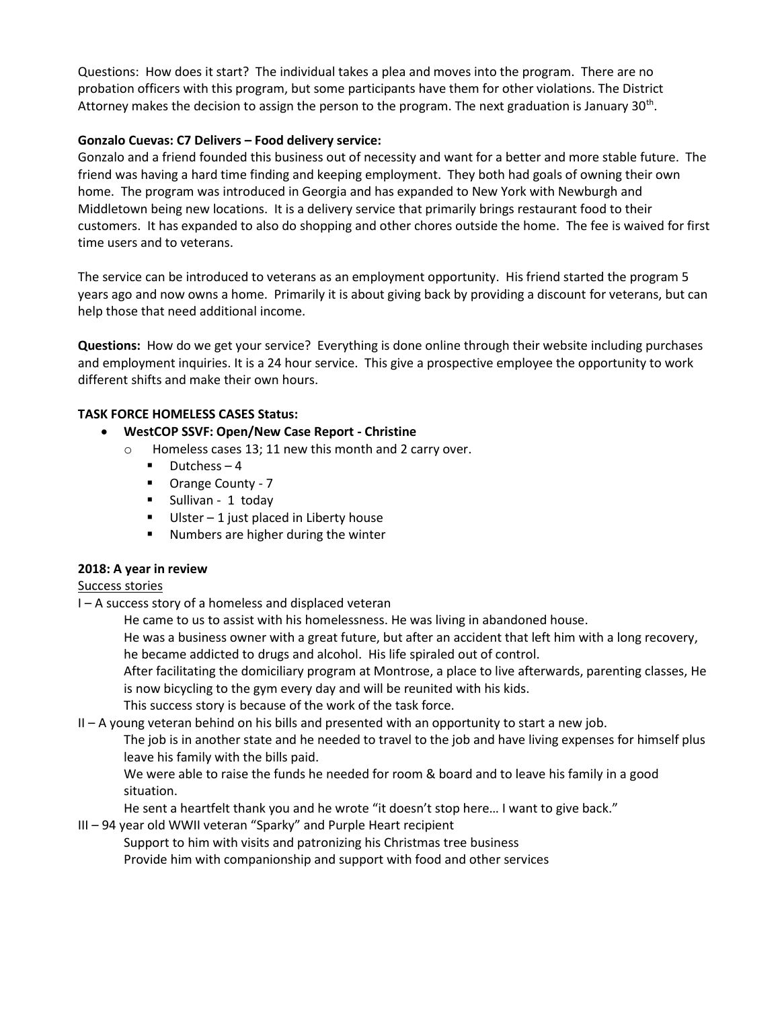Questions: How does it start? The individual takes a plea and moves into the program. There are no probation officers with this program, but some participants have them for other violations. The District Attorney makes the decision to assign the person to the program. The next graduation is January 30<sup>th</sup>.

# **Gonzalo Cuevas: C7 Delivers – Food delivery service:**

Gonzalo and a friend founded this business out of necessity and want for a better and more stable future. The friend was having a hard time finding and keeping employment. They both had goals of owning their own home. The program was introduced in Georgia and has expanded to New York with Newburgh and Middletown being new locations. It is a delivery service that primarily brings restaurant food to their customers. It has expanded to also do shopping and other chores outside the home. The fee is waived for first time users and to veterans.

The service can be introduced to veterans as an employment opportunity. His friend started the program 5 years ago and now owns a home. Primarily it is about giving back by providing a discount for veterans, but can help those that need additional income.

**Questions:** How do we get your service? Everything is done online through their website including purchases and employment inquiries. It is a 24 hour service. This give a prospective employee the opportunity to work different shifts and make their own hours.

# **TASK FORCE HOMELESS CASES Status:**

- **WestCOP SSVF: Open/New Case Report - Christine**
	- o Homeless cases 13; 11 new this month and 2 carry over.
		- $\blacksquare$  Dutchess 4
		- Orange County 7
		- Sullivan 1 today
		- $\blacksquare$  Ulster 1 just placed in Liberty house
		- Numbers are higher during the winter

## **2018: A year in review**

## Success stories

I – A success story of a homeless and displaced veteran

He came to us to assist with his homelessness. He was living in abandoned house.

He was a business owner with a great future, but after an accident that left him with a long recovery, he became addicted to drugs and alcohol. His life spiraled out of control.

After facilitating the domiciliary program at Montrose, a place to live afterwards, parenting classes, He is now bicycling to the gym every day and will be reunited with his kids.

This success story is because of the work of the task force.

II – A young veteran behind on his bills and presented with an opportunity to start a new job.

The job is in another state and he needed to travel to the job and have living expenses for himself plus leave his family with the bills paid.

We were able to raise the funds he needed for room & board and to leave his family in a good situation.

He sent a heartfelt thank you and he wrote "it doesn't stop here… I want to give back."

III – 94 year old WWII veteran "Sparky" and Purple Heart recipient

Support to him with visits and patronizing his Christmas tree business Provide him with companionship and support with food and other services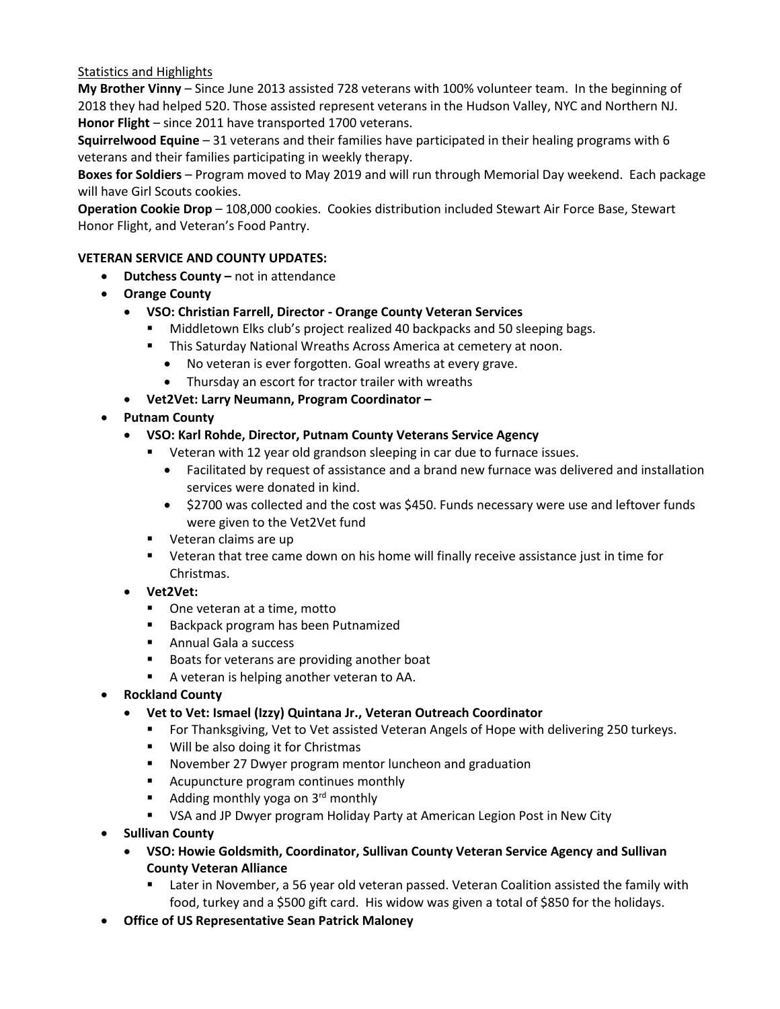# Statistics and Highlights

**My Brother Vinny** – Since June 2013 assisted 728 veterans with 100% volunteer team. In the beginning of 2018 they had helped 520. Those assisted represent veterans in the Hudson Valley, NYC and Northern NJ. **Honor Flight** – since 2011 have transported 1700 veterans.

**Squirrelwood Equine** – 31 veterans and their families have participated in their healing programs with 6 veterans and their families participating in weekly therapy.

**Boxes for Soldiers** – Program moved to May 2019 and will run through Memorial Day weekend. Each package will have Girl Scouts cookies.

**Operation Cookie Drop** – 108,000 cookies. Cookies distribution included Stewart Air Force Base, Stewart Honor Flight, and Veteran's Food Pantry.

# **VETERAN SERVICE AND COUNTY UPDATES:**

- **Dutchess County –** not in attendance
- **Orange County**
	- **VSO: Christian Farrell, Director - Orange County Veteran Services**
		- Middletown Elks club's project realized 40 backpacks and 50 sleeping bags.
		- This Saturday National Wreaths Across America at cemetery at noon.
			- No veteran is ever forgotten. Goal wreaths at every grave.
			- Thursday an escort for tractor trailer with wreaths
	- **Vet2Vet: Larry Neumann, Program Coordinator –**
- **Putnam County**
	- **VSO: Karl Rohde, Director, Putnam County Veterans Service Agency**
		- Veteran with 12 year old grandson sleeping in car due to furnace issues.
			- Facilitated by request of assistance and a brand new furnace was delivered and installation services were donated in kind.
			- \$2700 was collected and the cost was \$450. Funds necessary were use and leftover funds were given to the Vet2Vet fund
		- Veteran claims are up
		- Veteran that tree came down on his home will finally receive assistance just in time for Christmas.
	- **Vet2Vet:**
		- One veteran at a time, motto
		- Backpack program has been Putnamized
		- Annual Gala a success
		- Boats for veterans are providing another boat
		- A veteran is helping another veteran to AA.
- **Rockland County**
	- **Vet to Vet: Ismael (Izzy) Quintana Jr., Veteran Outreach Coordinator**
		- For Thanksgiving, Vet to Vet assisted Veteran Angels of Hope with delivering 250 turkeys.
		- Will be also doing it for Christmas
		- November 27 Dwyer program mentor luncheon and graduation
		- Acupuncture program continues monthly
		- Adding monthly yoga on  $3<sup>rd</sup>$  monthly
		- VSA and JP Dwyer program Holiday Party at American Legion Post in New City
- **Sullivan County**
	- **VSO: Howie Goldsmith, Coordinator, Sullivan County Veteran Service Agency and Sullivan County Veteran Alliance**
		- Later in November, a 56 year old veteran passed. Veteran Coalition assisted the family with food, turkey and a \$500 gift card. His widow was given a total of \$850 for the holidays.
- **Office of US Representative Sean Patrick Maloney**